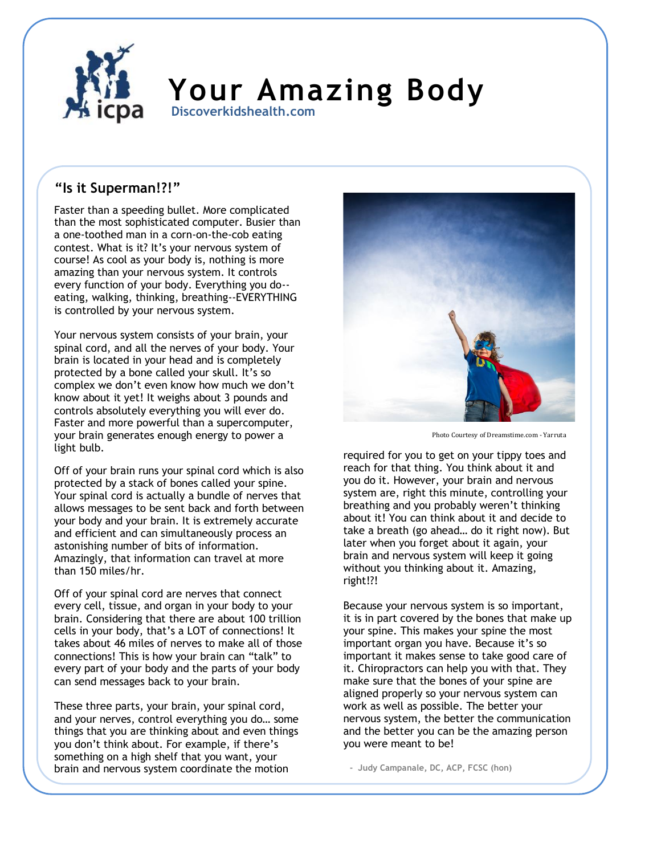

## **Your Amazing Body Discoverkidshealth.com**

## **"Is it Superman!?!"**

Faster than a speeding bullet. More complicated than the most sophisticated computer. Busier than a one-toothed man in a corn-on-the-cob eating contest. What is it? It's your nervous system of course! As cool as your body is, nothing is more amazing than your nervous system. It controls every function of your body. Everything you do- eating, walking, thinking, breathing--EVERYTHING is controlled by your nervous system.

Your nervous system consists of your brain, your spinal cord, and all the nerves of your body. Your brain is located in your head and is completely protected by a bone called your skull. It's so complex we don't even know how much we don't know about it yet! It weighs about 3 pounds and controls absolutely everything you will ever do. Faster and more powerful than a supercomputer, your brain generates enough energy to power a light bulb.

Off of your brain runs your spinal cord which is also protected by a stack of bones called your spine. Your spinal cord is actually a bundle of nerves that allows messages to be sent back and forth between your body and your brain. It is extremely accurate and efficient and can simultaneously process an astonishing number of bits of information. Amazingly, that information can travel at more than 150 miles/hr.

Off of your spinal cord are nerves that connect every cell, tissue, and organ in your body to your brain. Considering that there are about 100 trillion cells in your body, that's a LOT of connections! It takes about 46 miles of nerves to make all of those connections! This is how your brain can "talk" to every part of your body and the parts of your body can send messages back to your brain.

These three parts, your brain, your spinal cord, and your nerves, control everything you do… some things that you are thinking about and even things you don't think about. For example, if there's something on a high shelf that you want, your brain and nervous system coordinate the motion



Photo Courtesy of Dreamstime.com - Yarruta

required for you to get on your tippy toes and reach for that thing. You think about it and you do it. However, your brain and nervous system are, right this minute, controlling your breathing and you probably weren't thinking about it! You can think about it and decide to take a breath (go ahead… do it right now). But later when you forget about it again, your brain and nervous system will keep it going without you thinking about it. Amazing, right!?!

Because your nervous system is so important, it is in part covered by the bones that make up your spine. This makes your spine the most important organ you have. Because it's so important it makes sense to take good care of it. Chiropractors can help you with that. They make sure that the bones of your spine are aligned properly so your nervous system can work as well as possible. The better your nervous system, the better the communication and the better you can be the amazing person you were meant to be!

**- Judy Campanale, DC, ACP, FCSC (hon)**